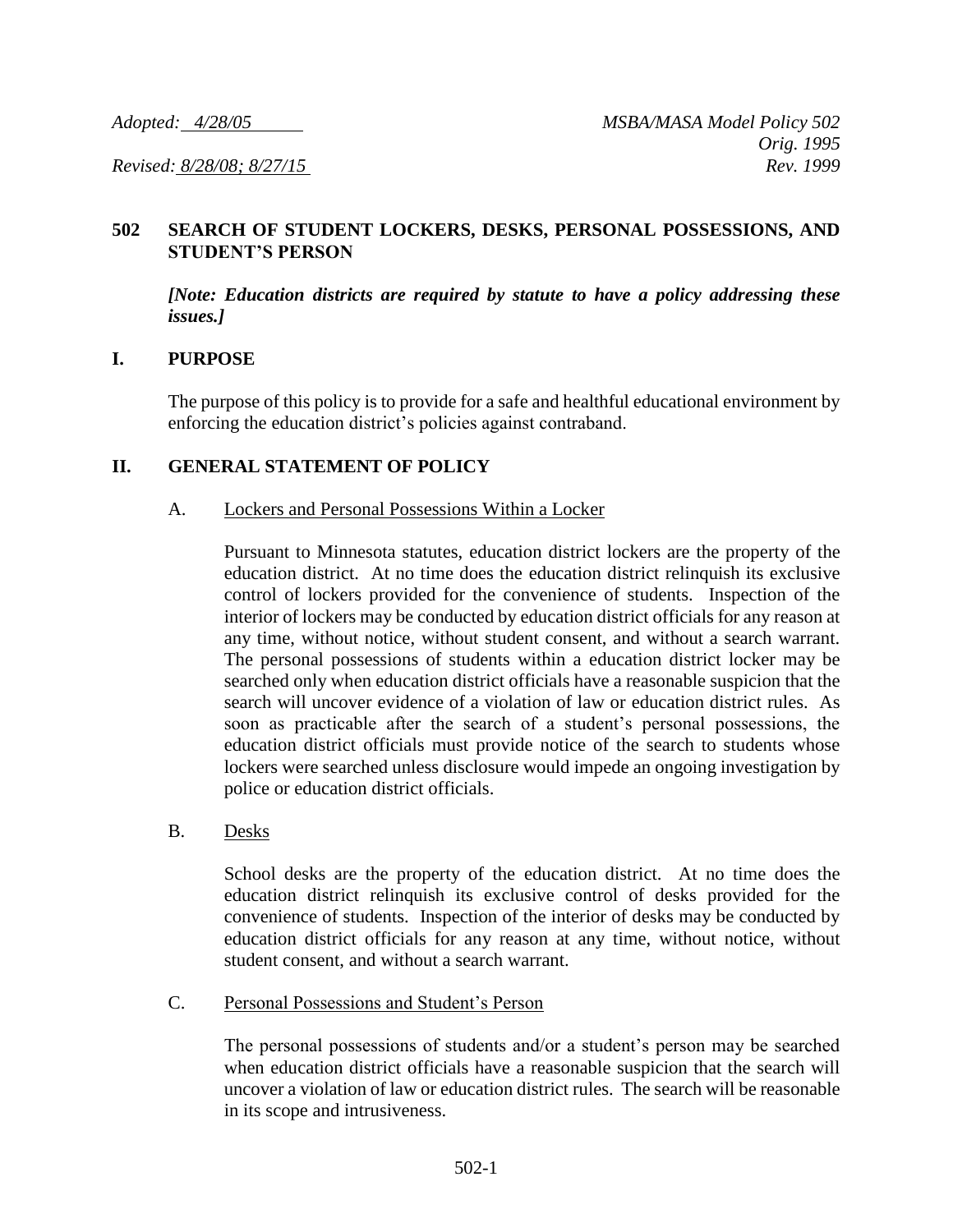## **502 SEARCH OF STUDENT LOCKERS, DESKS, PERSONAL POSSESSIONS, AND STUDENT'S PERSON**

*[Note: Education districts are required by statute to have a policy addressing these issues.]*

## **I. PURPOSE**

The purpose of this policy is to provide for a safe and healthful educational environment by enforcing the education district's policies against contraband.

## **II. GENERAL STATEMENT OF POLICY**

### A. Lockers and Personal Possessions Within a Locker

Pursuant to Minnesota statutes, education district lockers are the property of the education district. At no time does the education district relinquish its exclusive control of lockers provided for the convenience of students. Inspection of the interior of lockers may be conducted by education district officials for any reason at any time, without notice, without student consent, and without a search warrant. The personal possessions of students within a education district locker may be searched only when education district officials have a reasonable suspicion that the search will uncover evidence of a violation of law or education district rules. As soon as practicable after the search of a student's personal possessions, the education district officials must provide notice of the search to students whose lockers were searched unless disclosure would impede an ongoing investigation by police or education district officials.

### B. Desks

School desks are the property of the education district. At no time does the education district relinquish its exclusive control of desks provided for the convenience of students. Inspection of the interior of desks may be conducted by education district officials for any reason at any time, without notice, without student consent, and without a search warrant.

### C. Personal Possessions and Student's Person

The personal possessions of students and/or a student's person may be searched when education district officials have a reasonable suspicion that the search will uncover a violation of law or education district rules. The search will be reasonable in its scope and intrusiveness.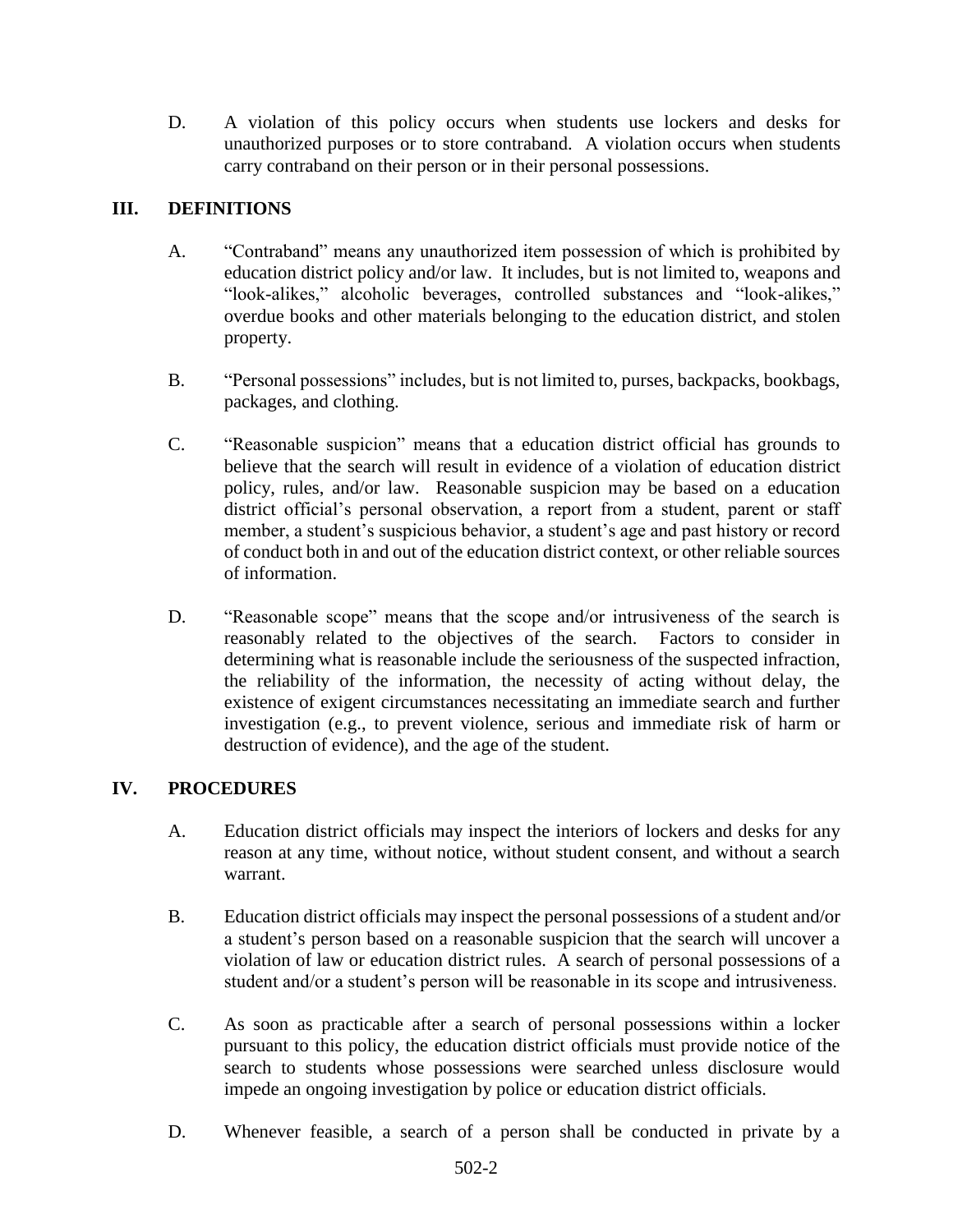D. A violation of this policy occurs when students use lockers and desks for unauthorized purposes or to store contraband. A violation occurs when students carry contraband on their person or in their personal possessions.

# **III. DEFINITIONS**

- A. "Contraband" means any unauthorized item possession of which is prohibited by education district policy and/or law. It includes, but is not limited to, weapons and "look-alikes," alcoholic beverages, controlled substances and "look-alikes," overdue books and other materials belonging to the education district, and stolen property.
- B. "Personal possessions" includes, but is not limited to, purses, backpacks, bookbags, packages, and clothing.
- C. "Reasonable suspicion" means that a education district official has grounds to believe that the search will result in evidence of a violation of education district policy, rules, and/or law. Reasonable suspicion may be based on a education district official's personal observation, a report from a student, parent or staff member, a student's suspicious behavior, a student's age and past history or record of conduct both in and out of the education district context, or other reliable sources of information.
- D. "Reasonable scope" means that the scope and/or intrusiveness of the search is reasonably related to the objectives of the search. Factors to consider in determining what is reasonable include the seriousness of the suspected infraction, the reliability of the information, the necessity of acting without delay, the existence of exigent circumstances necessitating an immediate search and further investigation (e.g., to prevent violence, serious and immediate risk of harm or destruction of evidence), and the age of the student.

# **IV. PROCEDURES**

- A. Education district officials may inspect the interiors of lockers and desks for any reason at any time, without notice, without student consent, and without a search warrant.
- B. Education district officials may inspect the personal possessions of a student and/or a student's person based on a reasonable suspicion that the search will uncover a violation of law or education district rules. A search of personal possessions of a student and/or a student's person will be reasonable in its scope and intrusiveness.
- C. As soon as practicable after a search of personal possessions within a locker pursuant to this policy, the education district officials must provide notice of the search to students whose possessions were searched unless disclosure would impede an ongoing investigation by police or education district officials.
- D. Whenever feasible, a search of a person shall be conducted in private by a